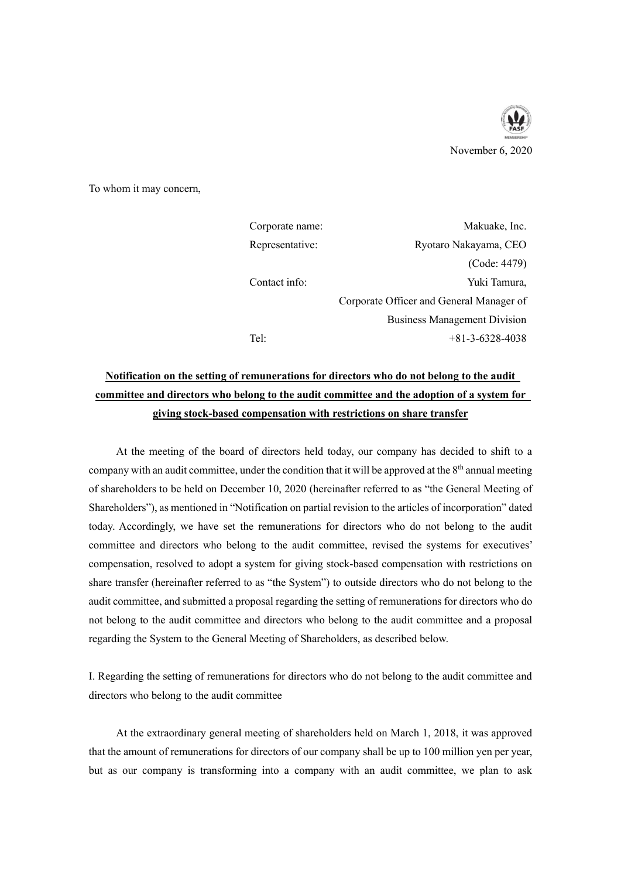

November 6, 2020

To whom it may concern,

| Corporate name: | Makuake, Inc.                            |
|-----------------|------------------------------------------|
| Representative: | Ryotaro Nakayama, CEO                    |
|                 | (Code: 4479)                             |
| Contact info:   | Yuki Tamura,                             |
|                 | Corporate Officer and General Manager of |
|                 | <b>Business Management Division</b>      |
| Tel:            | $+81-3-6328-4038$                        |

# **Notification on the setting of remunerations for directors who do not belong to the audit committee and directors who belong to the audit committee and the adoption of a system for giving stock-based compensation with restrictions on share transfer**

At the meeting of the board of directors held today, our company has decided to shift to a company with an audit committee, under the condition that it will be approved at the  $8<sup>th</sup>$  annual meeting of shareholders to be held on December 10, 2020 (hereinafter referred to as "the General Meeting of Shareholders"), as mentioned in "Notification on partial revision to the articles of incorporation" dated today. Accordingly, we have set the remunerations for directors who do not belong to the audit committee and directors who belong to the audit committee, revised the systems for executives' compensation, resolved to adopt a system for giving stock-based compensation with restrictions on share transfer (hereinafter referred to as "the System") to outside directors who do not belong to the audit committee, and submitted a proposal regarding the setting of remunerations for directors who do not belong to the audit committee and directors who belong to the audit committee and a proposal regarding the System to the General Meeting of Shareholders, as described below.

I. Regarding the setting of remunerations for directors who do not belong to the audit committee and directors who belong to the audit committee

At the extraordinary general meeting of shareholders held on March 1, 2018, it was approved that the amount of remunerations for directors of our company shall be up to 100 million yen per year, but as our company is transforming into a company with an audit committee, we plan to ask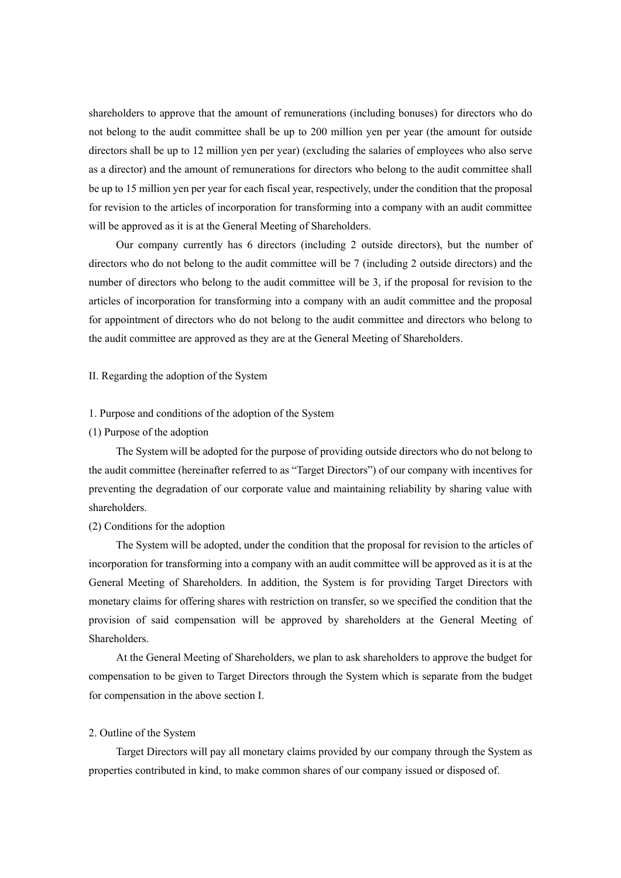shareholders to approve that the amount of remunerations (including bonuses) for directors who do not belong to the audit committee shall be up to 200 million yen per year (the amount for outside directors shall be up to 12 million yen per year) (excluding the salaries of employees who also serve as a director) and the amount of remunerations for directors who belong to the audit committee shall be up to 15 million yen per year for each fiscal year, respectively, under the condition that the proposal for revision to the articles of incorporation for transforming into a company with an audit committee will be approved as it is at the General Meeting of Shareholders.

Our company currently has 6 directors (including 2 outside directors), but the number of directors who do not belong to the audit committee will be 7 (including 2 outside directors) and the number of directors who belong to the audit committee will be 3, if the proposal for revision to the articles of incorporation for transforming into a company with an audit committee and the proposal for appointment of directors who do not belong to the audit committee and directors who belong to the audit committee are approved as they are at the General Meeting of Shareholders.

II. Regarding the adoption of the System

## 1. Purpose and conditions of the adoption of the System

#### (1) Purpose of the adoption

The System will be adopted for the purpose of providing outside directors who do not belong to the audit committee (hereinafter referred to as "Target Directors") of our company with incentives for preventing the degradation of our corporate value and maintaining reliability by sharing value with shareholders.

### (2) Conditions for the adoption

The System will be adopted, under the condition that the proposal for revision to the articles of incorporation for transforming into a company with an audit committee will be approved as it is at the General Meeting of Shareholders. In addition, the System is for providing Target Directors with monetary claims for offering shares with restriction on transfer, so we specified the condition that the provision of said compensation will be approved by shareholders at the General Meeting of Shareholders.

At the General Meeting of Shareholders, we plan to ask shareholders to approve the budget for compensation to be given to Target Directors through the System which is separate from the budget for compensation in the above section I.

## 2. Outline of the System

Target Directors will pay all monetary claims provided by our company through the System as properties contributed in kind, to make common shares of our company issued or disposed of.